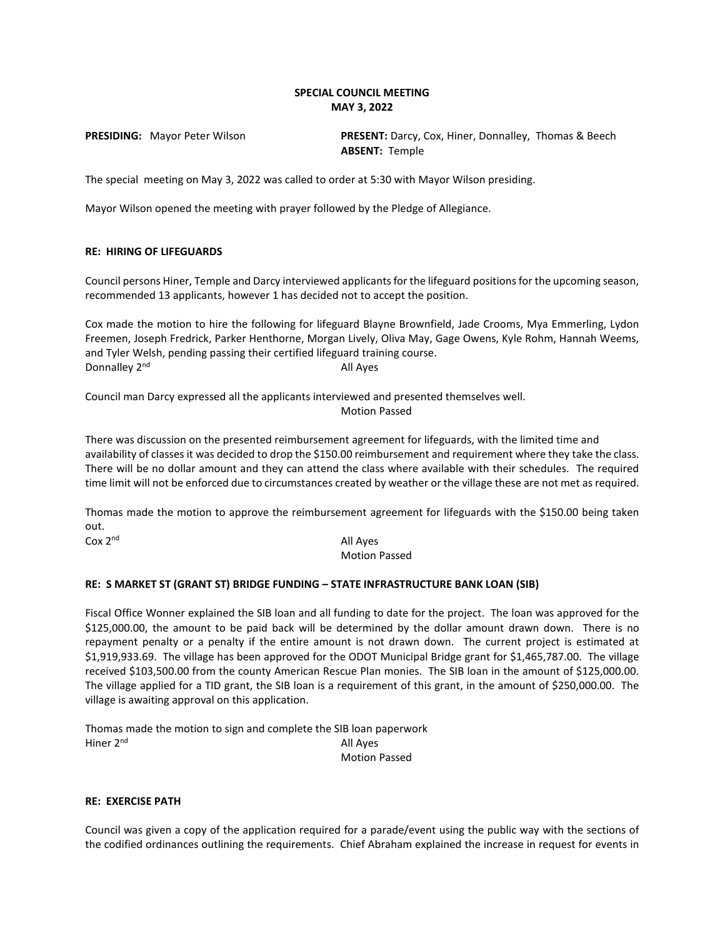## **SPECIAL COUNCIL MEETING MAY 3, 2022**

**PRESIDING:** Mayor Peter Wilson **PRESENT:** Darcy, Cox, Hiner, Donnalley, Thomas & Beech **ABSENT:** Temple

The special meeting on May 3, 2022 was called to order at 5:30 with Mayor Wilson presiding.

Mayor Wilson opened the meeting with prayer followed by the Pledge of Allegiance.

## **RE: HIRING OF LIFEGUARDS**

Council persons Hiner, Temple and Darcy interviewed applicants for the lifeguard positions for the upcoming season, recommended 13 applicants, however 1 has decided not to accept the position.

Cox made the motion to hire the following for lifeguard Blayne Brownfield, Jade Crooms, Mya Emmerling, Lydon Freemen, Joseph Fredrick, Parker Henthorne, Morgan Lively, Oliva May, Gage Owens, Kyle Rohm, Hannah Weems, and Tyler Welsh, pending passing their certified lifeguard training course. Donnalley 2<sup>nd</sup> All Ayes

Council man Darcy expressed all the applicants interviewed and presented themselves well. Motion Passed

There was discussion on the presented reimbursement agreement for lifeguards, with the limited time and availability of classes it was decided to drop the \$150.00 reimbursement and requirement where they take the class. There will be no dollar amount and they can attend the class where available with their schedules. The required time limit will not be enforced due to circumstances created by weather or the village these are not met as required.

Thomas made the motion to approve the reimbursement agreement for lifeguards with the \$150.00 being taken out.

 $\cos 2^{nd}$  All Ayes

Motion Passed

## **RE: S MARKET ST (GRANT ST) BRIDGE FUNDING – STATE INFRASTRUCTURE BANK LOAN (SIB)**

Fiscal Office Wonner explained the SIB loan and all funding to date for the project. The loan was approved for the \$125,000.00, the amount to be paid back will be determined by the dollar amount drawn down. There is no repayment penalty or a penalty if the entire amount is not drawn down. The current project is estimated at \$1,919,933.69. The village has been approved for the ODOT Municipal Bridge grant for \$1,465,787.00. The village received \$103,500.00 from the county American Rescue Plan monies. The SIB loan in the amount of \$125,000.00. The village applied for a TID grant, the SIB loan is a requirement of this grant, in the amount of \$250,000.00. The village is awaiting approval on this application.

Thomas made the motion to sign and complete the SIB loan paperwork Hiner 2<sup>nd</sup> All Ayes

Motion Passed

## **RE: EXERCISE PATH**

Council was given a copy of the application required for a parade/event using the public way with the sections of the codified ordinances outlining the requirements. Chief Abraham explained the increase in request for events in